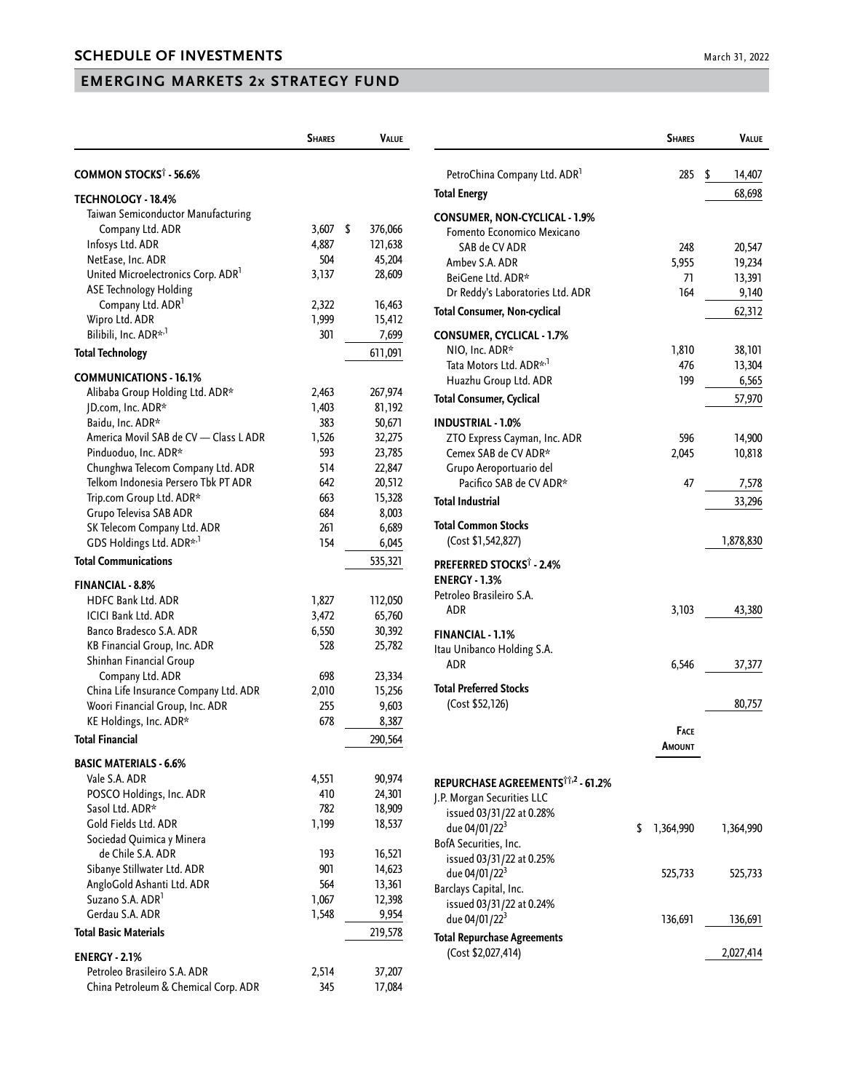## **EMERGING MARKETS 2x STRATEGY FUND**

|                                                | <b>SHARES</b> | <b>VALUE</b>  |
|------------------------------------------------|---------------|---------------|
| COMMON STOCKS <sup>†</sup> - 56.6%             |               |               |
| <b>TECHNOLOGY - 18.4%</b>                      |               |               |
| Taiwan Semiconductor Manufacturing             |               |               |
| Company Ltd. ADR                               | 3,607         | \$<br>376,066 |
| Infosys Ltd. ADR                               | 4,887         | 121,638       |
| NetEase, Inc. ADR                              | 504           | 45,204        |
| United Microelectronics Corp. ADR <sup>1</sup> | 3,137         | 28,609        |
| <b>ASE Technology Holding</b>                  |               |               |
| Company Ltd. ADR <sup>1</sup>                  | 2,322         | 16,463        |
| Wipro Ltd. ADR                                 | 1,999         | 15,412        |
| Bilibili, Inc. ADR* <sup>,1</sup>              | 301           | 7,699         |
| <b>Total Technology</b>                        |               | 611,091       |
| <b>COMMUNICATIONS - 16.1%</b>                  |               |               |
| Alibaba Group Holding Ltd. ADR*                | 2,463         | 267,974       |
| JD.com, Inc. ADR*                              | 1,403         | 81,192        |
| Baidu, Inc. ADR*                               | 383           | 50,671        |
| America Movil SAB de CV - Class L ADR          | 1,526         | 32,275        |
| Pinduoduo, Inc. ADR*                           | 593           | 23,785        |
| Chunghwa Telecom Company Ltd. ADR              | 514           | 22,847        |
| Telkom Indonesia Persero Tbk PT ADR            | 642           | 20,512        |
| Trip.com Group Ltd. ADR*                       | 663           | 15,328        |
| Grupo Televisa SAB ADR                         | 684           | 8,003         |
| SK Telecom Company Ltd. ADR                    | 261           | 6,689         |
| GDS Holdings Ltd. ADR* <sup>,1</sup>           | 154           | 6,045         |
| <b>Total Communications</b>                    |               | 535,321       |
| FINANCIAL - 8.8%                               |               |               |
| <b>HDFC Bank Ltd. ADR</b>                      | 1,827         | 112,050       |
| <b>ICICI Bank Ltd. ADR</b>                     | 3,472         | 65,760        |
| Banco Bradesco S.A. ADR                        | 6,550         | 30,392        |
| KB Financial Group, Inc. ADR                   | 528           | 25,782        |
| Shinhan Financial Group                        |               |               |
| Company Ltd. ADR                               | 698           | 23,334        |
| China Life Insurance Company Ltd. ADR          | 2,010         | 15,256        |
| Woori Financial Group, Inc. ADR                | 255           | 9,603         |
| KE Holdings, Inc. ADR*                         | 678           | 8,387         |
| Total Financial                                |               | 290,564       |
| <b>BASIC MATERIALS - 6.6%</b>                  |               |               |
| Vale S.A. ADR                                  | 4,551         | 90,974        |
| POSCO Holdings, Inc. ADR                       | 410           | 24,301        |
| Sasol Ltd. ADR*                                | 782           | 18,909        |
| Gold Fields Ltd. ADR                           | 1,199         | 18,537        |
| Sociedad Quimica y Minera                      |               |               |
| de Chile S.A. ADR                              | 193           | 16,521        |
| Sibanye Stillwater Ltd. ADR                    | 901           | 14,623        |
| AngloGold Ashanti Ltd. ADR                     | 564           | 13,361        |
| Suzano S.A. ADR <sup>1</sup>                   | 1,067         | 12,398        |
| Gerdau S.A. ADR                                | 1,548         | 9,954         |
| <b>Total Basic Materials</b>                   |               | 219,578       |
| <b>ENERGY - 2.1%</b>                           |               |               |
| Petroleo Brasileiro S.A. ADR                   | 2,514         | 37,207        |
| China Petroleum & Chemical Corp. ADR           | 345           | 17,084        |

|                                                                                          | <b>SHARES</b>   | VALUE           |
|------------------------------------------------------------------------------------------|-----------------|-----------------|
| PetroChina Company Ltd. ADR <sup>1</sup>                                                 | 285             | \$<br>14,407    |
| <b>Total Energy</b>                                                                      |                 | 68,698          |
| CONSUMER, NON-CYCLICAL - 1.9%<br>Fomento Economico Mexicano                              |                 |                 |
| SAB de CV ADR                                                                            | 248             | 20,547          |
| Ambey S.A. ADR                                                                           | 5,955           | 19,234          |
| BeiGene Ltd. ADR*                                                                        | 71<br>164       | 13,391<br>9,140 |
| Dr Reddy's Laboratories Ltd. ADR<br><b>Total Consumer, Non-cyclical</b>                  |                 | 62,312          |
|                                                                                          |                 |                 |
| <b>CONSUMER, CYCLICAL - 1.7%</b>                                                         |                 |                 |
| NIO, Inc. ADR*                                                                           | 1,810           | 38,101          |
| Tata Motors Ltd. ADR* <sup>,1</sup><br>Huazhu Group Ltd. ADR                             | 476<br>199      | 13,304<br>6,565 |
|                                                                                          |                 |                 |
| <b>Total Consumer, Cyclical</b>                                                          |                 | 57,970          |
| <b>INDUSTRIAL - 1.0%</b>                                                                 |                 |                 |
| ZTO Express Cayman, Inc. ADR<br>Cemex SAB de CV ADR*                                     | 596             | 14,900          |
| Grupo Aeroportuario del                                                                  | 2,045           | 10,818          |
| Pacifico SAB de CV ADR*                                                                  | 47              | 7,578           |
| <b>Total Industrial</b>                                                                  |                 | 33,296          |
| Total Common Stocks<br>(Cost \$1,542,827)                                                |                 | 1,878,830       |
|                                                                                          |                 |                 |
| PREFERRED STOCKS <sup>†</sup> - 2.4%<br><b>ENERGY - 1.3%</b><br>Petroleo Brasileiro S.A. |                 |                 |
| ADR                                                                                      | 3,103           | 43,380          |
| <b>FINANCIAL - 1.1%</b>                                                                  |                 |                 |
| Itau Unibanco Holding S.A.<br>ADR                                                        | 6,546           | 37,377          |
|                                                                                          |                 |                 |
| <b>Total Preferred Stocks</b><br>(Cost \$52,126)                                         |                 | 80,757          |
|                                                                                          | <b>FACE</b>     |                 |
|                                                                                          | AMOUNT          |                 |
|                                                                                          |                 |                 |
| REPURCHASE AGREEMENTS <sup>11,2</sup> - 61.2%                                            |                 |                 |
| J.P. Morgan Securities LLC                                                               |                 |                 |
| issued 03/31/22 at 0.28%<br>due 04/01/22 <sup>3</sup>                                    | \$<br>1,364,990 | 1,364,990       |
| BofA Securities, Inc.                                                                    |                 |                 |
| issued 03/31/22 at 0.25%                                                                 |                 |                 |
| due 04/01/22 <sup>3</sup>                                                                | 525,733         | 525,733         |
| Barclays Capital, Inc.                                                                   |                 |                 |
| issued 03/31/22 at 0.24%                                                                 |                 |                 |
| due 04/01/22 <sup>3</sup>                                                                | 136,691         | 136,691         |
| <b>Total Repurchase Agreements</b><br>(Cost \$2,027,414)                                 |                 | 2,027,414       |
|                                                                                          |                 |                 |